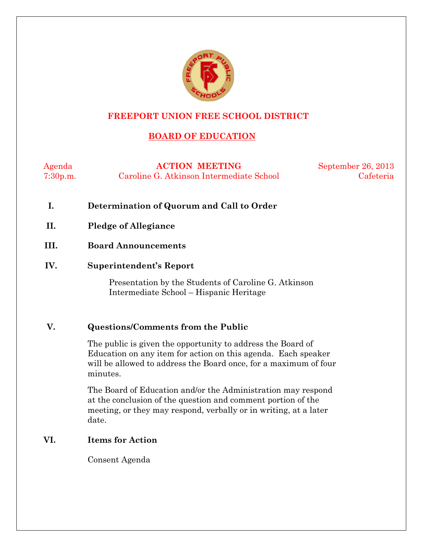

# **FREEPORT UNION FREE SCHOOL DISTRICT**

# **BOARD OF EDUCATION**

Agenda **ACTION MEETING** September 26, 2013 7:30p.m. Caroline G. Atkinson Intermediate School Cafeteria

- **I. Determination of Quorum and Call to Order**
- **II. Pledge of Allegiance**
- **III. Board Announcements**
- **IV. Superintendent's Report**

Presentation by the Students of Caroline G. Atkinson Intermediate School – Hispanic Heritage

### **V. Questions/Comments from the Public**

The public is given the opportunity to address the Board of Education on any item for action on this agenda. Each speaker will be allowed to address the Board once, for a maximum of four minutes.

The Board of Education and/or the Administration may respond at the conclusion of the question and comment portion of the meeting, or they may respond, verbally or in writing, at a later date.

### **VI. Items for Action**

Consent Agenda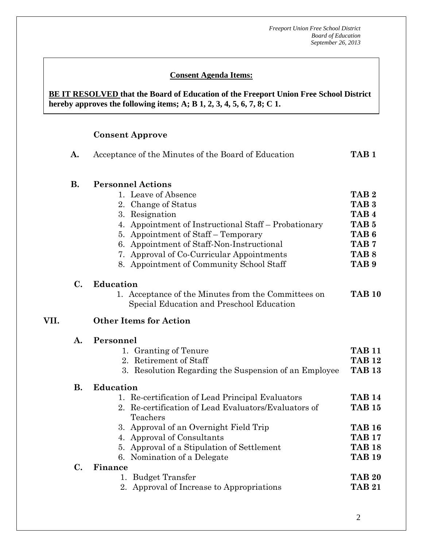### **Consent Agenda Items:**

#### *Acceptance of the Minutes*  $\mathbf{A}$ **BE IT RESOLVED that the Board of Education of the Freeport Union Free School District hereby approves the following items; A; B 1, 2, 3, 4, 5, 6, 7, 8; C 1.**

# **Consent Approve**

 **AA. Consent - Approve** 

|      | A.             | Acceptance of the Minutes of the Board of Education                                                                                                                                                                                                                                                                           | TAB <sub>1</sub>                                                                                                                                             |
|------|----------------|-------------------------------------------------------------------------------------------------------------------------------------------------------------------------------------------------------------------------------------------------------------------------------------------------------------------------------|--------------------------------------------------------------------------------------------------------------------------------------------------------------|
|      | <b>B.</b>      | <b>Personnel Actions</b><br>1. Leave of Absence<br>2. Change of Status<br>3. Resignation<br>4. Appointment of Instructional Staff – Probationary<br>5. Appointment of Staff – Temporary<br>6. Appointment of Staff-Non-Instructional<br>7. Approval of Co-Curricular Appointments<br>8. Appointment of Community School Staff | TAB <sub>2</sub><br>TAB <sub>3</sub><br>TAB <sub>4</sub><br>TAB <sub>5</sub><br>TAB <sub>6</sub><br>TAB <sub>7</sub><br>TAB <sub>8</sub><br>TAB <sub>9</sub> |
| VII. | $\mathbf{C}$ . | Education<br>1. Acceptance of the Minutes from the Committees on<br>Special Education and Preschool Education<br><b>Other Items for Action</b>                                                                                                                                                                                | <b>TAB 10</b>                                                                                                                                                |
|      | $\mathbf{A}$ . | Personnel<br>1. Granting of Tenure<br>2. Retirement of Staff<br>3. Resolution Regarding the Suspension of an Employee                                                                                                                                                                                                         | <b>TAB 11</b><br><b>TAB 12</b><br><b>TAB 13</b>                                                                                                              |
|      | <b>B.</b>      | <b>Education</b><br>1. Re-certification of Lead Principal Evaluators<br>2. Re-certification of Lead Evaluators/Evaluators of<br>Teachers<br>3. Approval of an Overnight Field Trip<br>4. Approval of Consultants<br>5. Approval of a Stipulation of Settlement                                                                | <b>TAB 14</b><br><b>TAB 15</b><br><b>TAB 16</b><br><b>TAB 17</b><br><b>TAB 18</b><br><b>TAB 19</b>                                                           |
|      | $C_{\bullet}$  | 6. Nomination of a Delegate<br>Finance<br>1. Budget Transfer<br>2. Approval of Increase to Appropriations                                                                                                                                                                                                                     | <b>TAB 20</b><br><b>TAB 21</b>                                                                                                                               |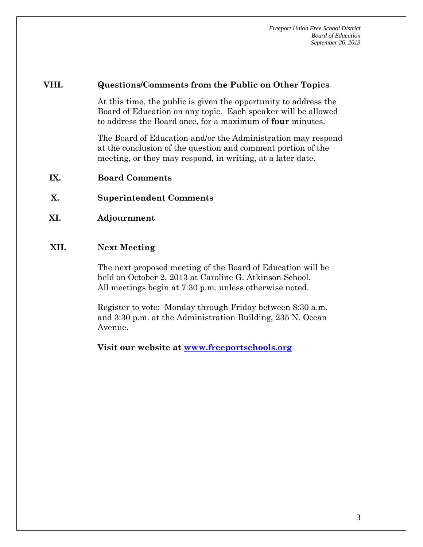#### **VIII. Questions/Comments from the Public on Other Topics**

At this time, the public is given the opportunity to address the Board of Education on any topic. Each speaker will be allowed to address the Board once, for a maximum of **four** minutes.

The Board of Education and/or the Administration may respond at the conclusion of the question and comment portion of the meeting, or they may respond, in writing, at a later date.

- **IX. Board Comments**
- **X. Superintendent Comments**
- **XI. Adjournment**

#### **XII. Next Meeting**

The next proposed meeting of the Board of Education will be held on October 2, 2013 at Caroline G. Atkinson School. All meetings begin at 7:30 p.m. unless otherwise noted.

Register to vote: Monday through Friday between 8:30 a.m. and 3:30 p.m. at the Administration Building, 235 N. Ocean Avenue.

**Visit our website at www.freeportschools.org**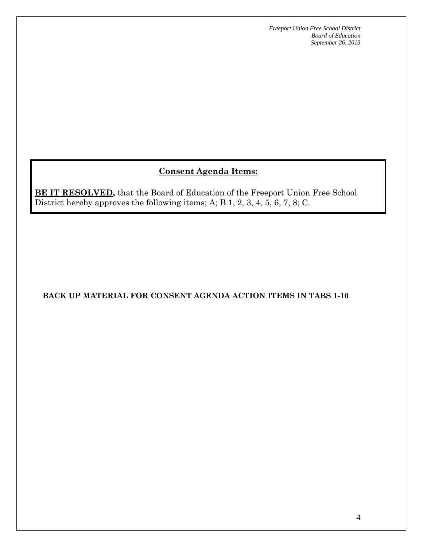# **Consent Agenda Items:**

**BE IT RESOLVED,** that the Board of Education of the Freeport Union Free School District hereby approves the following items; A; B 1, 2, 3, 4, 5, 6, 7, 8; C.

# **BACK UP MATERIAL FOR CONSENT AGENDA ACTION ITEMS IN TABS 1-10**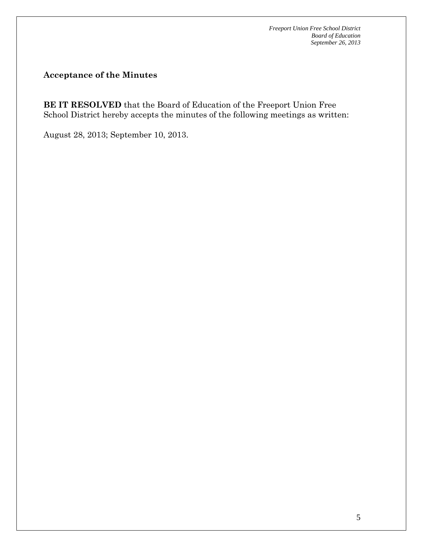**Acceptance of the Minutes** 

**BE IT RESOLVED** that the Board of Education of the Freeport Union Free School District hereby accepts the minutes of the following meetings as written:

August 28, 2013; September 10, 2013.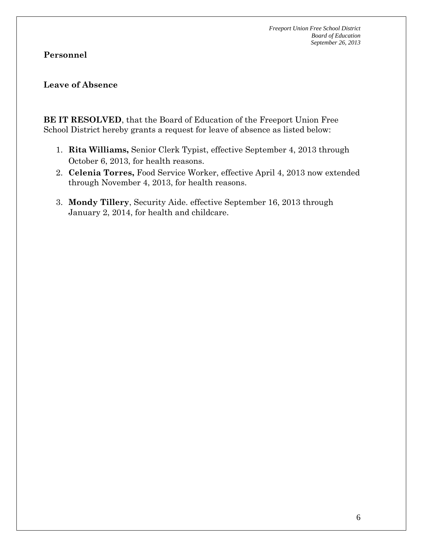### **Personnel**

### **Leave of Absence**

**BE IT RESOLVED**, that the Board of Education of the Freeport Union Free School District hereby grants a request for leave of absence as listed below:

- 1. **Rita Williams,** Senior Clerk Typist, effective September 4, 2013 through October 6, 2013, for health reasons.
- 2. **Celenia Torres,** Food Service Worker, effective April 4, 2013 now extended through November 4, 2013, for health reasons.
- 3. **Mondy Tillery**, Security Aide. effective September 16, 2013 through January 2, 2014, for health and childcare.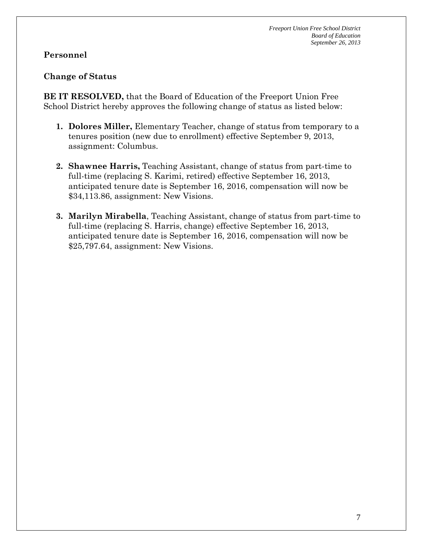# **Personnel**

### **Change of Status**

**BE IT RESOLVED,** that the Board of Education of the Freeport Union Free School District hereby approves the following change of status as listed below:

- **1. Dolores Miller,** Elementary Teacher, change of status from temporary to a tenures position (new due to enrollment) effective September 9, 2013, assignment: Columbus.
- **2. Shawnee Harris,** Teaching Assistant, change of status from part-time to full-time (replacing S. Karimi, retired) effective September 16, 2013, anticipated tenure date is September 16, 2016, compensation will now be \$34,113.86, assignment: New Visions.
- **3. Marilyn Mirabella**, Teaching Assistant, change of status from part-time to full-time (replacing S. Harris, change) effective September 16, 2013, anticipated tenure date is September 16, 2016, compensation will now be \$25,797.64, assignment: New Visions.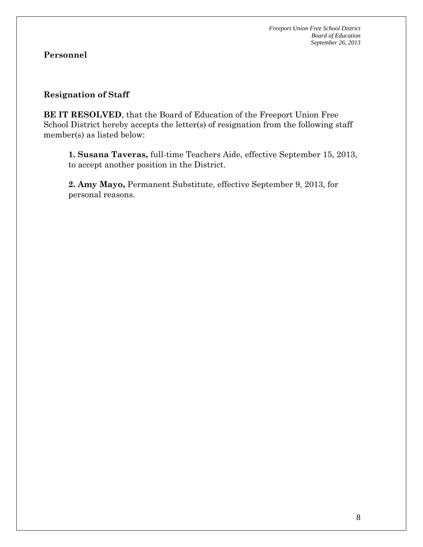### **Resignation of Staff**

**BE IT RESOLVED**, that the Board of Education of the Freeport Union Free School District hereby accepts the letter(s) of resignation from the following staff member(s) as listed below:

**1. Susana Taveras,** full-time Teachers Aide, effective September 15, 2013, to accept another position in the District.

**2. Amy Mayo,** Permanent Substitute, effective September 9, 2013, for personal reasons.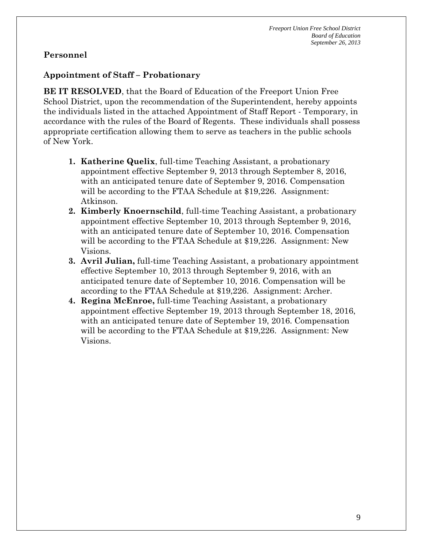### **Appointment of Staff – Probationary**

**BE IT RESOLVED**, that the Board of Education of the Freeport Union Free School District, upon the recommendation of the Superintendent, hereby appoints the individuals listed in the attached Appointment of Staff Report - Temporary, in accordance with the rules of the Board of Regents. These individuals shall possess appropriate certification allowing them to serve as teachers in the public schools of New York.

- **1. Katherine Quelix**, full-time Teaching Assistant, a probationary appointment effective September 9, 2013 through September 8, 2016, with an anticipated tenure date of September 9, 2016. Compensation will be according to the FTAA Schedule at \$19,226. Assignment: Atkinson.
- **2. Kimberly Knoernschild**, full-time Teaching Assistant, a probationary appointment effective September 10, 2013 through September 9, 2016, with an anticipated tenure date of September 10, 2016. Compensation will be according to the FTAA Schedule at \$19,226. Assignment: New Visions.
- **3. Avril Julian,** full-time Teaching Assistant, a probationary appointment effective September 10, 2013 through September 9, 2016, with an anticipated tenure date of September 10, 2016. Compensation will be according to the FTAA Schedule at \$19,226. Assignment: Archer.
- **4. Regina McEnroe,** full-time Teaching Assistant, a probationary appointment effective September 19, 2013 through September 18, 2016, with an anticipated tenure date of September 19, 2016. Compensation will be according to the FTAA Schedule at \$19,226. Assignment: New Visions.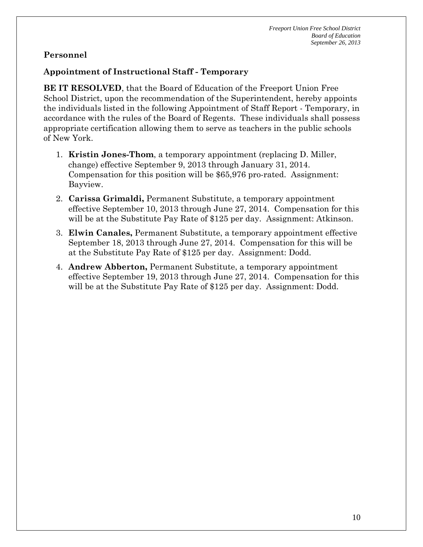# **Appointment of Instructional Staff - Temporary**

**BE IT RESOLVED**, that the Board of Education of the Freeport Union Free School District, upon the recommendation of the Superintendent, hereby appoints the individuals listed in the following Appointment of Staff Report - Temporary, in accordance with the rules of the Board of Regents. These individuals shall possess appropriate certification allowing them to serve as teachers in the public schools of New York.

- 1. **Kristin Jones-Thom**, a temporary appointment (replacing D. Miller, change) effective September 9, 2013 through January 31, 2014. Compensation for this position will be \$65,976 pro-rated. Assignment: Bayview.
- 2. **Carissa Grimaldi,** Permanent Substitute, a temporary appointment effective September 10, 2013 through June 27, 2014. Compensation for this will be at the Substitute Pay Rate of \$125 per day. Assignment: Atkinson.
- 3. **Elwin Canales,** Permanent Substitute, a temporary appointment effective September 18, 2013 through June 27, 2014. Compensation for this will be at the Substitute Pay Rate of \$125 per day. Assignment: Dodd.
- 4. **Andrew Abberton,** Permanent Substitute, a temporary appointment effective September 19, 2013 through June 27, 2014. Compensation for this will be at the Substitute Pay Rate of \$125 per day. Assignment: Dodd.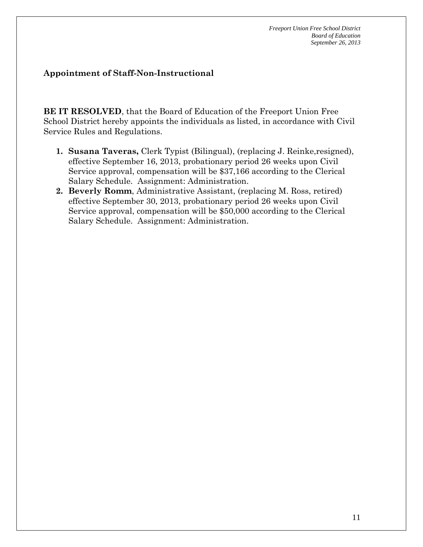### **Appointment of Staff-Non-Instructional**

**BE IT RESOLVED**, that the Board of Education of the Freeport Union Free School District hereby appoints the individuals as listed, in accordance with Civil Service Rules and Regulations.

- **1. Susana Taveras,** Clerk Typist (Bilingual), (replacing J. Reinke,resigned), effective September 16, 2013, probationary period 26 weeks upon Civil Service approval, compensation will be \$37,166 according to the Clerical Salary Schedule. Assignment: Administration.
- **2. Beverly Romm**, Administrative Assistant, (replacing M. Ross, retired) effective September 30, 2013, probationary period 26 weeks upon Civil Service approval, compensation will be \$50,000 according to the Clerical Salary Schedule. Assignment: Administration.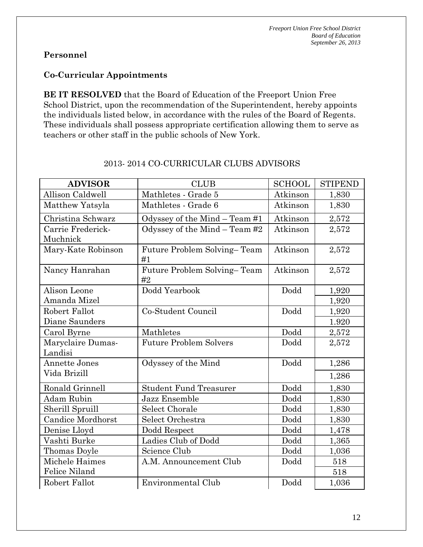### **Co-Curricular Appointments**

**BE IT RESOLVED** that the Board of Education of the Freeport Union Free School District, upon the recommendation of the Superintendent, hereby appoints the individuals listed below, in accordance with the rules of the Board of Regents. These individuals shall possess appropriate certification allowing them to serve as teachers or other staff in the public schools of New York.

| <b>ADVISOR</b>       | <b>CLUB</b>                       | <b>SCHOOL</b> | <b>STIPEND</b> |
|----------------------|-----------------------------------|---------------|----------------|
| Allison Caldwell     | Mathletes - Grade 5               | Atkinson      | 1,830          |
| Matthew Yatsyla      | Mathletes - Grade 6               | Atkinson      | 1,830          |
| Christina Schwarz    | Odyssey of the Mind - Team #1     | Atkinson      | 2,572          |
| Carrie Frederick-    | Odyssey of the Mind $-$ Team #2   | Atkinson      | 2,572          |
| Muchnick             |                                   |               |                |
| Mary-Kate Robinson   | Future Problem Solving-Team<br>#1 | Atkinson      | 2,572          |
| Nancy Hanrahan       | Future Problem Solving-Team<br>#2 | Atkinson      | 2,572          |
| Alison Leone         | Dodd Yearbook                     | Dodd          | 1,920          |
| Amanda Mizel         |                                   |               | 1,920          |
| Robert Fallot        | Co-Student Council                | Dodd          | 1,920          |
| Diane Saunders       |                                   |               | 1.920          |
| Carol Byrne          | Mathletes                         | Dodd          | 2,572          |
| Maryclaire Dumas-    | <b>Future Problem Solvers</b>     | Dodd          | 2,572          |
| Landisi              |                                   |               |                |
| <b>Annette Jones</b> | Odyssey of the Mind               | Dodd          | 1,286          |
| Vida Brizill         |                                   |               | 1,286          |
| Ronald Grinnell      | <b>Student Fund Treasurer</b>     | Dodd          | 1,830          |
| <b>Adam Rubin</b>    | Jazz Ensemble                     | Dodd          | 1,830          |
| Sherill Spruill      | <b>Select Chorale</b>             | Dodd          | 1,830          |
| Candice Mordhorst    | Select Orchestra                  | Dodd          | 1,830          |
| Denise Lloyd         | Dodd Respect                      | Dodd          | 1,478          |
| Vashti Burke         | Ladies Club of Dodd               | Dodd          | 1,365          |
| Thomas Doyle         | Science Club                      | Dodd          | 1,036          |
| Michele Haimes       | A.M. Announcement Club            | Dodd          | 518            |
| <b>Felice Niland</b> |                                   |               | 518            |
| Robert Fallot        | Environmental Club                | Dodd          | 1,036          |

### 2013- 2014 CO-CURRICULAR CLUBS ADVISORS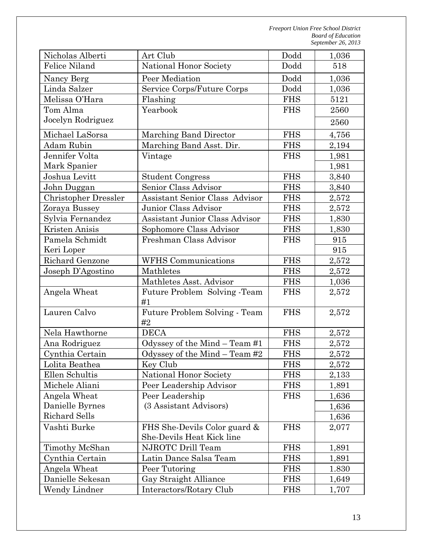| Nicholas Alberti                        | Art Club                                                  |            | 1,036 |
|-----------------------------------------|-----------------------------------------------------------|------------|-------|
| Felice Niland<br>National Honor Society |                                                           | Dodd       | 518   |
| Nancy Berg                              | Peer Mediation                                            | Dodd       | 1,036 |
| Linda Salzer                            | Service Corps/Future Corps                                | Dodd       | 1,036 |
| Melissa O'Hara                          | Flashing                                                  | <b>FHS</b> | 5121  |
| Tom Alma                                | Yearbook                                                  | <b>FHS</b> | 2560  |
| Jocelyn Rodriguez                       |                                                           |            | 2560  |
| Michael LaSorsa                         | Marching Band Director                                    | <b>FHS</b> | 4,756 |
| Adam Rubin                              | Marching Band Asst. Dir.                                  | <b>FHS</b> | 2,194 |
| Jennifer Volta                          | Vintage                                                   | <b>FHS</b> | 1,981 |
| Mark Spanier                            |                                                           |            | 1,981 |
| Joshua Levitt                           | <b>Student Congress</b>                                   | <b>FHS</b> | 3,840 |
| John Duggan                             | Senior Class Advisor                                      | <b>FHS</b> | 3,840 |
| <b>Christopher Dressler</b>             | <b>Assistant Senior Class Advisor</b>                     | <b>FHS</b> | 2,572 |
| Zoraya Bussey                           | Junior Class Advisor                                      | <b>FHS</b> | 2,572 |
| Sylvia Fernandez                        | Assistant Junior Class Advisor                            | <b>FHS</b> | 1,830 |
| Kristen Anisis                          | Sophomore Class Advisor                                   | <b>FHS</b> | 1,830 |
| Pamela Schmidt                          | Freshman Class Advisor                                    | <b>FHS</b> | 915   |
| Keri Loper                              |                                                           |            | 915   |
| Richard Genzone                         | <b>WFHS</b> Communications                                | <b>FHS</b> | 2,572 |
| Joseph D'Agostino                       | Mathletes                                                 | <b>FHS</b> | 2,572 |
|                                         | Mathletes Asst. Advisor                                   | <b>FHS</b> | 1,036 |
| Angela Wheat                            | Future Problem Solving -Team<br>#1                        | <b>FHS</b> | 2,572 |
| Lauren Calvo                            | Future Problem Solving - Team<br>#2                       | <b>FHS</b> | 2,572 |
| Nela Hawthorne                          | <b>DECA</b>                                               | <b>FHS</b> | 2,572 |
| Ana Rodriguez                           | Odyssey of the Mind $-$ Team #1                           | <b>FHS</b> | 2,572 |
| Cynthia Certain                         | Odyssey of the Mind $-$ Team #2                           | <b>FHS</b> | 2,572 |
| Lolita Beathea                          | Key Club                                                  | <b>FHS</b> | 2,572 |
| Ellen Schultis                          | National Honor Society                                    | <b>FHS</b> | 2,133 |
| Michele Aliani                          | Peer Leadership Advisor                                   | <b>FHS</b> | 1,891 |
| Angela Wheat                            | Peer Leadership                                           | <b>FHS</b> | 1,636 |
| Danielle Byrnes                         | (3 Assistant Advisors)                                    |            | 1,636 |
| <b>Richard Sells</b>                    |                                                           |            | 1,636 |
| Vashti Burke                            | FHS She-Devils Color guard &<br>She-Devils Heat Kick line | <b>FHS</b> | 2,077 |
| Timothy McShan                          | NJROTC Drill Team                                         | <b>FHS</b> | 1,891 |
| Cynthia Certain                         | Latin Dance Salsa Team                                    | <b>FHS</b> | 1,891 |
| Angela Wheat                            | Peer Tutoring                                             | <b>FHS</b> | 1.830 |
| Danielle Sekesan                        | Gay Straight Alliance                                     | <b>FHS</b> | 1,649 |
| Wendy Lindner                           | Interactors/Rotary Club                                   | <b>FHS</b> | 1,707 |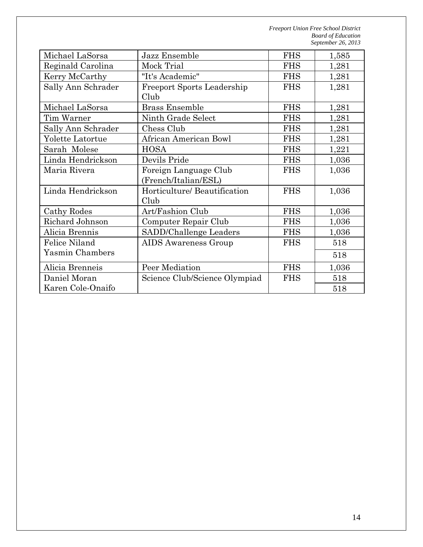| Michael LaSorsa    | Jazz Ensemble                                 | <b>FHS</b> | 1,585 |
|--------------------|-----------------------------------------------|------------|-------|
| Reginald Carolina  | Mock Trial                                    | <b>FHS</b> | 1,281 |
| Kerry McCarthy     | "It's Academic"                               | <b>FHS</b> | 1,281 |
| Sally Ann Schrader | <b>Freeport Sports Leadership</b><br>Club     | <b>FHS</b> | 1,281 |
| Michael LaSorsa    | <b>Brass Ensemble</b>                         | <b>FHS</b> | 1,281 |
| Tim Warner         | Ninth Grade Select                            | <b>FHS</b> | 1,281 |
| Sally Ann Schrader | Chess Club                                    | <b>FHS</b> | 1,281 |
| Yolette Latortue   | <b>African American Bowl</b>                  | <b>FHS</b> | 1,281 |
| Sarah Molese       | <b>HOSA</b>                                   | <b>FHS</b> | 1,221 |
| Linda Hendrickson  | Devils Pride                                  | <b>FHS</b> | 1,036 |
| Maria Rivera       | Foreign Language Club<br>(French/Italian/ESL) | <b>FHS</b> | 1,036 |
| Linda Hendrickson  | Horticulture/ Beautification<br>Club          | <b>FHS</b> | 1,036 |
| Cathy Rodes        | Art/Fashion Club                              | <b>FHS</b> | 1,036 |
| Richard Johnson    | Computer Repair Club                          | <b>FHS</b> | 1,036 |
| Alicia Brennis     | SADD/Challenge Leaders                        | <b>FHS</b> | 1,036 |
| Felice Niland      | <b>AIDS</b> Awareness Group                   | <b>FHS</b> | 518   |
| Yasmin Chambers    |                                               |            | 518   |
| Alicia Brenneis    | Peer Mediation                                | <b>FHS</b> | 1,036 |
| Daniel Moran       | Science Club/Science Olympiad                 | <b>FHS</b> | 518   |
| Karen Cole-Onaifo  |                                               |            | 518   |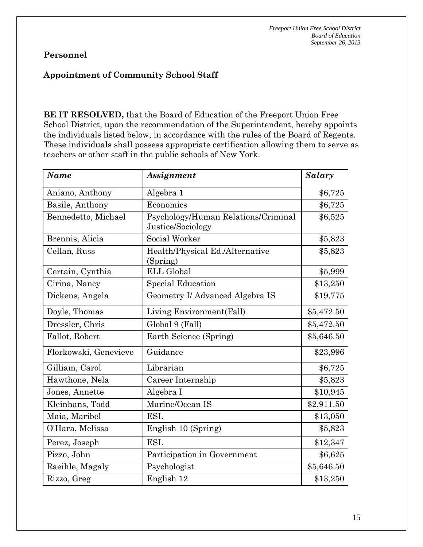# **Appointment of Community School Staff**

**BE IT RESOLVED,** that the Board of Education of the Freeport Union Free School District, upon the recommendation of the Superintendent, hereby appoints the individuals listed below, in accordance with the rules of the Board of Regents. These individuals shall possess appropriate certification allowing them to serve as teachers or other staff in the public schools of New York.

| <b>Name</b>           | Assignment                                               | Salary     |
|-----------------------|----------------------------------------------------------|------------|
| Aniano, Anthony       | Algebra 1                                                | \$6,725    |
| Basile, Anthony       | Economics                                                | \$6,725    |
| Bennedetto, Michael   | Psychology/Human Relations/Criminal<br>Justice/Sociology | \$6,525    |
| Brennis, Alicia       | Social Worker                                            | \$5,823    |
| Cellan, Russ          | Health/Physical Ed./Alternative<br>(Spring)              | \$5,823    |
| Certain, Cynthia      | <b>ELL Global</b>                                        | \$5,999    |
| Cirina, Nancy         | <b>Special Education</b>                                 | \$13,250   |
| Dickens, Angela       | Geometry I/ Advanced Algebra IS                          | \$19,775   |
| Doyle, Thomas         | Living Environment(Fall)                                 | \$5,472.50 |
| Dressler, Chris       | Global 9 (Fall)                                          | \$5,472.50 |
| Fallot, Robert        | Earth Science (Spring)                                   | \$5,646.50 |
| Florkowski, Genevieve | Guidance                                                 | \$23,996   |
| Gilliam, Carol        | Librarian                                                | \$6,725    |
| Hawthone, Nela        | Career Internship                                        | \$5,823    |
| Jones, Annette        | Algebra I                                                | \$10,945   |
| Kleinhans, Todd       | Marine/Ocean IS                                          | \$2,911.50 |
| Maia, Maribel         | <b>ESL</b>                                               | \$13,050   |
| O'Hara, Melissa       | English 10 (Spring)                                      | \$5,823    |
| Perez, Joseph         | <b>ESL</b>                                               | \$12,347   |
| Pizzo, John           | Participation in Government                              | \$6,625    |
| Raeihle, Magaly       | Psychologist                                             | \$5,646.50 |
| Rizzo, Greg           | English 12                                               | \$13,250   |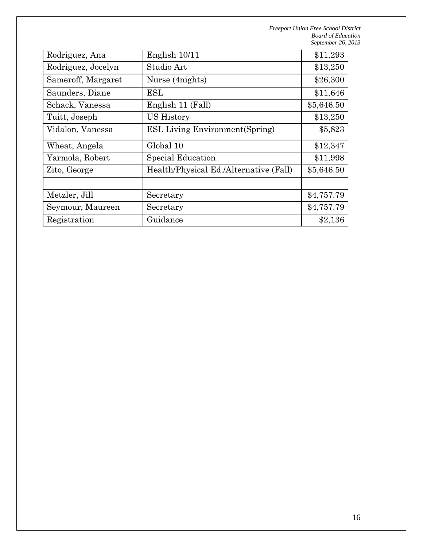| Rodriguez, Ana     | English 10/11                          | \$11,293   |
|--------------------|----------------------------------------|------------|
| Rodriguez, Jocelyn | Studio Art                             | \$13,250   |
| Sameroff, Margaret | Nurse (4 nights)                       | \$26,300   |
| Saunders, Diane    | ESL                                    | \$11,646   |
| Schack, Vanessa    | English 11 (Fall)                      | \$5,646.50 |
| Tuitt, Joseph      | US History                             | \$13,250   |
| Vidalon, Vanessa   | <b>ESL Living Environment (Spring)</b> | \$5,823    |
| Wheat, Angela      | Global 10                              | \$12,347   |
| Yarmola, Robert    | Special Education                      | \$11,998   |
| Zito, George       | Health/Physical Ed./Alternative (Fall) | \$5,646.50 |
|                    |                                        |            |
| Metzler, Jill      | Secretary                              | \$4,757.79 |
| Seymour, Maureen   | Secretary                              | \$4,757.79 |
| Registration       | Guidance                               | \$2,136    |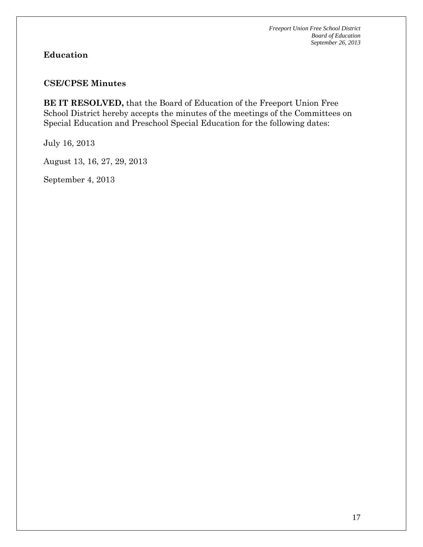# **Education**

### **CSE/CPSE Minutes**

**BE IT RESOLVED,** that the Board of Education of the Freeport Union Free School District hereby accepts the minutes of the meetings of the Committees on Special Education and Preschool Special Education for the following dates:

July 16, 2013

August 13, 16, 27, 29, 2013

September 4, 2013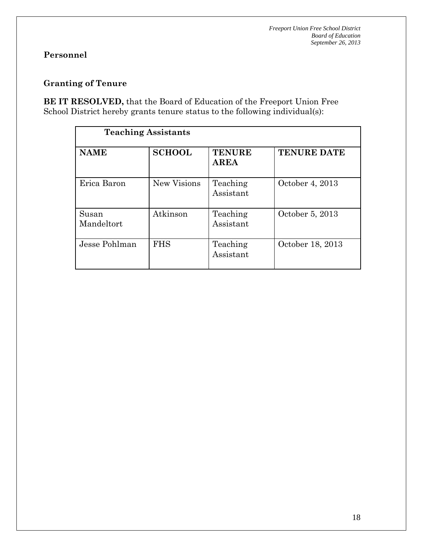# **Personnel**

# **Granting of Tenure**

**BE IT RESOLVED,** that the Board of Education of the Freeport Union Free School District hereby grants tenure status to the following individual(s):

| <b>Teaching Assistants</b> |               |                              |                    |  |  |
|----------------------------|---------------|------------------------------|--------------------|--|--|
| <b>NAME</b>                | <b>SCHOOL</b> | <b>TENURE</b><br><b>AREA</b> | <b>TENURE DATE</b> |  |  |
| Erica Baron                | New Visions   | Teaching<br>Assistant        | October 4, 2013    |  |  |
| Susan<br>Mandeltort        | Atkinson      | Teaching<br>Assistant        | October 5, 2013    |  |  |
| Jesse Pohlman              | <b>FHS</b>    | Teaching<br>Assistant        | October 18, 2013   |  |  |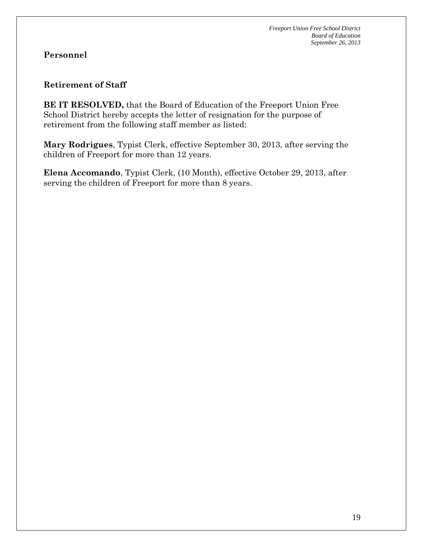### **Retirement of Staff**

**BE IT RESOLVED,** that the Board of Education of the Freeport Union Free School District hereby accepts the letter of resignation for the purpose of retirement from the following staff member as listed:

**Mary Rodrigues**, Typist Clerk, effective September 30, 2013, after serving the children of Freeport for more than 12 years.

**Elena Accomando**, Typist Clerk, (10 Month), effective October 29, 2013, after serving the children of Freeport for more than 8 years.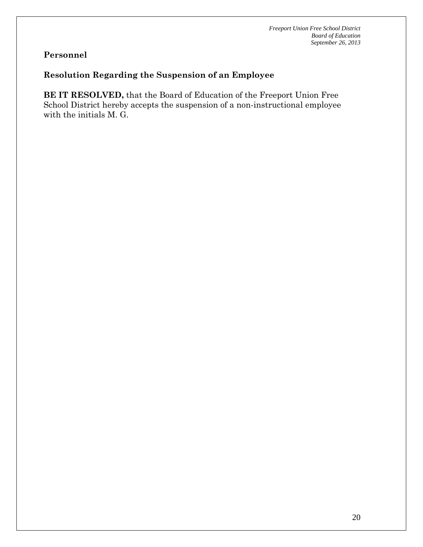# **Resolution Regarding the Suspension of an Employee**

**BE IT RESOLVED,** that the Board of Education of the Freeport Union Free School District hereby accepts the suspension of a non-instructional employee with the initials M. G.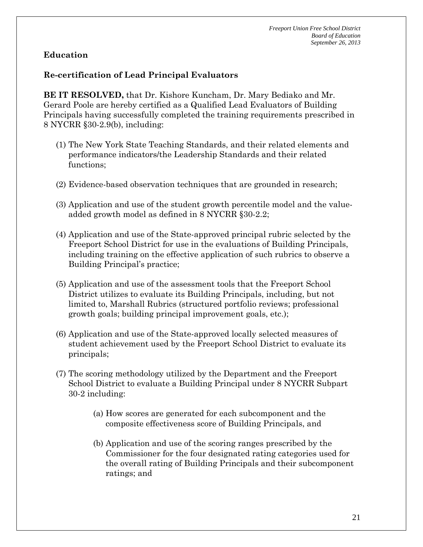# **Re-certification of Lead Principal Evaluators**

**BE IT RESOLVED,** that Dr. Kishore Kuncham, Dr. Mary Bediako and Mr. Gerard Poole are hereby certified as a Qualified Lead Evaluators of Building Principals having successfully completed the training requirements prescribed in 8 NYCRR §30-2.9(b), including:

- (1) The New York State Teaching Standards, and their related elements and performance indicators/the Leadership Standards and their related functions;
- (2) Evidence-based observation techniques that are grounded in research;
- (3) Application and use of the student growth percentile model and the valueadded growth model as defined in 8 NYCRR §30-2.2;
- (4) Application and use of the State-approved principal rubric selected by the Freeport School District for use in the evaluations of Building Principals, including training on the effective application of such rubrics to observe a Building Principal's practice;
- (5) Application and use of the assessment tools that the Freeport School District utilizes to evaluate its Building Principals, including, but not limited to, Marshall Rubrics (structured portfolio reviews; professional growth goals; building principal improvement goals, etc.);
- (6) Application and use of the State-approved locally selected measures of student achievement used by the Freeport School District to evaluate its principals;
- (7) The scoring methodology utilized by the Department and the Freeport School District to evaluate a Building Principal under 8 NYCRR Subpart 30-2 including:
	- (a) How scores are generated for each subcomponent and the composite effectiveness score of Building Principals, and
	- (b) Application and use of the scoring ranges prescribed by the Commissioner for the four designated rating categories used for the overall rating of Building Principals and their subcomponent ratings; and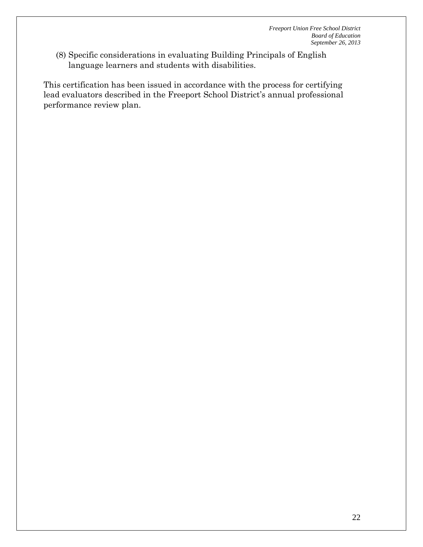(8) Specific considerations in evaluating Building Principals of English language learners and students with disabilities.

This certification has been issued in accordance with the process for certifying lead evaluators described in the Freeport School District's annual professional performance review plan.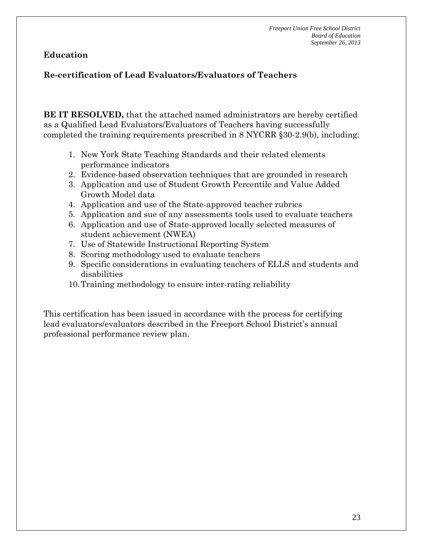# **Re-certification of Lead Evaluators/Evaluators of Teachers**

**BE IT RESOLVED,** that the attached named administrators are hereby certified as a Qualified Lead Evaluators/Evaluators of Teachers having successfully completed the training requirements prescribed in 8 NYCRR §30-2.9(b), including:

- 1. New York State Teaching Standards and their related elements performance indicators
- 2. Evidence-based observation techniques that are grounded in research
- 3. Application and use of Student Growth Percentile and Value Added Growth Model data
- 4. Application and use of the State-approved teacher rubrics
- 5. Application and sue of any assessments tools used to evaluate teachers
- 6. Application and use of State-approved locally selected measures of student achievement (NWEA)
- 7. Use of Statewide Instructional Reporting System
- 8. Scoring methodology used to evaluate teachers
- 9. Specific considerations in evaluating teachers of ELLS and students and disabilities
- 10.Training methodology to ensure inter-rating reliability

This certification has been issued in accordance with the process for certifying lead evaluators/evaluators described in the Freeport School District's annual professional performance review plan.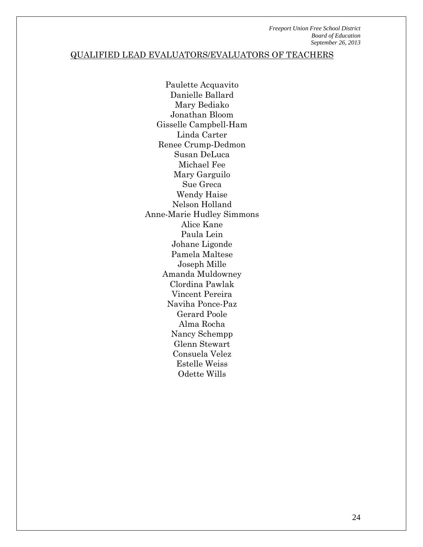# QUALIFIED LEAD EVALUATORS/EVALUATORS OF TEACHERS

Paulette Acquavito Danielle Ballard Mary Bediako Jonathan Bloom Gisselle Campbell-Ham Linda Carter Renee Crump-Dedmon Susan DeLuca Michael Fee Mary Garguilo Sue Greca Wendy Haise Nelson Holland Anne-Marie Hudley Simmons Alice Kane Paula Lein Johane Ligonde Pamela Maltese Joseph Mille Amanda Muldowney Clordina Pawlak Vincent Pereira Naviha Ponce-Paz Gerard Poole Alma Rocha Nancy Schempp Glenn Stewart Consuela Velez Estelle Weiss Odette Wills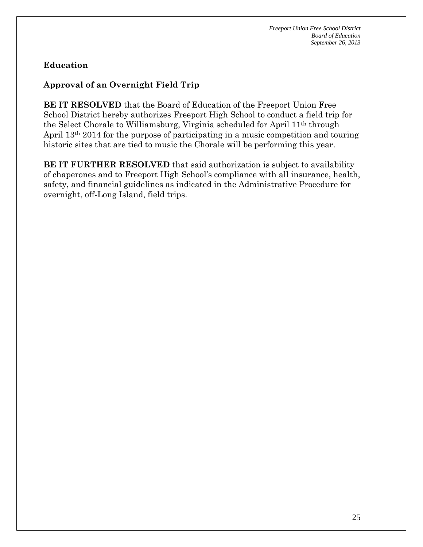# **Approval of an Overnight Field Trip**

**BE IT RESOLVED** that the Board of Education of the Freeport Union Free School District hereby authorizes Freeport High School to conduct a field trip for the Select Chorale to Williamsburg, Virginia scheduled for April 11th through April 13th 2014 for the purpose of participating in a music competition and touring historic sites that are tied to music the Chorale will be performing this year.

**BE IT FURTHER RESOLVED** that said authorization is subject to availability of chaperones and to Freeport High School's compliance with all insurance, health, safety, and financial guidelines as indicated in the Administrative Procedure for overnight, off-Long Island, field trips.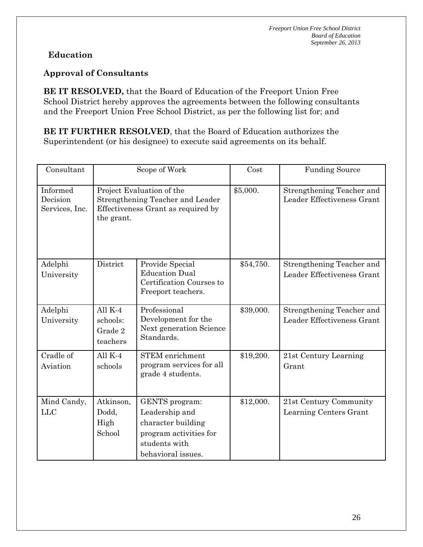# **Approval of Consultants**

**BE IT RESOLVED,** that the Board of Education of the Freeport Union Free School District hereby approves the agreements between the following consultants and the Freeport Union Free School District, as per the following list for; and

**BE IT FURTHER RESOLVED**, that the Board of Education authorizes the Superintendent (or his designee) to execute said agreements on its behalf.

| Consultant                             | Scope of Work                                                                                                     |                                                                                                                         | Cost      | <b>Funding Source</b>                                   |
|----------------------------------------|-------------------------------------------------------------------------------------------------------------------|-------------------------------------------------------------------------------------------------------------------------|-----------|---------------------------------------------------------|
| Informed<br>Decision<br>Services, Inc. | Project Evaluation of the<br>Strengthening Teacher and Leader<br>Effectiveness Grant as required by<br>the grant. |                                                                                                                         | \$5,000.  | Strengthening Teacher and<br>Leader Effectiveness Grant |
| Adelphi<br>University                  | District                                                                                                          | Provide Special<br><b>Education Dual</b><br>Certification Courses to<br>Freeport teachers.                              | \$54,750. | Strengthening Teacher and<br>Leader Effectiveness Grant |
| Adelphi<br>University                  | All $K-4$<br>schools:<br>Grade 2<br>teachers                                                                      | Professional<br>Development for the<br>Next generation Science<br>Standards.                                            | \$39,000. | Strengthening Teacher and<br>Leader Effectiveness Grant |
| Cradle of<br>Aviation                  | All $K-4$<br>schools                                                                                              | <b>STEM</b> enrichment<br>program services for all<br>grade 4 students.                                                 | \$19,200. | 21st Century Learning<br>Grant                          |
| Mind Candy,<br><b>LLC</b>              | Atkinson,<br>Dodd,<br>High<br>School                                                                              | GENTS program:<br>Leadership and<br>character building<br>program activities for<br>students with<br>behavioral issues. | \$12,000. | 21st Century Community<br>Learning Centers Grant        |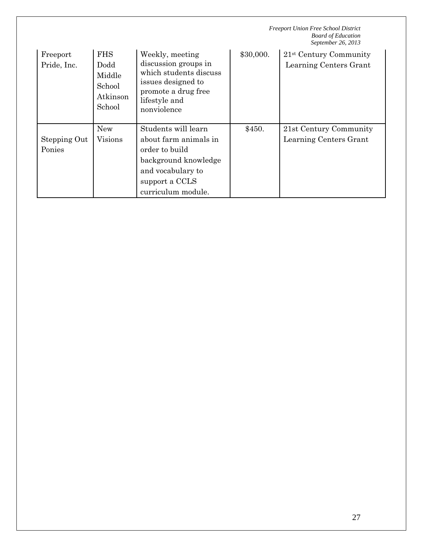|                         |                                                              |                                                                                                                                                     | <b>Freeport Union Free School District</b><br><b>Board of Education</b><br>September 26, 2013 |                                                    |  |
|-------------------------|--------------------------------------------------------------|-----------------------------------------------------------------------------------------------------------------------------------------------------|-----------------------------------------------------------------------------------------------|----------------------------------------------------|--|
| Freeport<br>Pride, Inc. | <b>FHS</b><br>Dodd<br>Middle<br>School<br>Atkinson<br>School | Weekly, meeting<br>discussion groups in<br>which students discuss<br>issues designed to<br>promote a drug free<br>lifestyle and<br>nonviolence      | \$30,000.                                                                                     | $21st$ Century Community<br>Learning Centers Grant |  |
| Stepping Out<br>Ponies  | <b>New</b><br>Visions                                        | Students will learn<br>about farm animals in<br>order to build<br>background knowledge<br>and vocabulary to<br>support a CCLS<br>curriculum module. | \$450.                                                                                        | 21st Century Community<br>Learning Centers Grant   |  |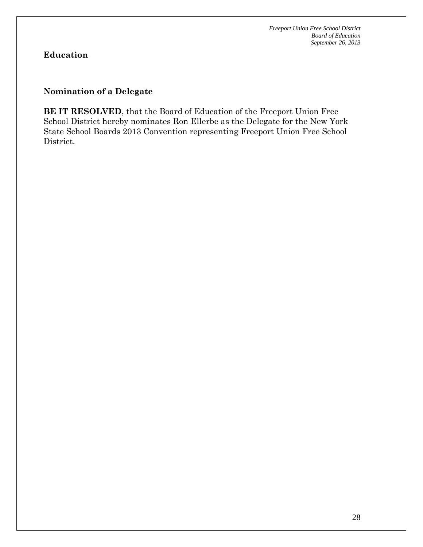# **Nomination of a Delegate**

**BE IT RESOLVED**, that the Board of Education of the Freeport Union Free School District hereby nominates Ron Ellerbe as the Delegate for the New York State School Boards 2013 Convention representing Freeport Union Free School District.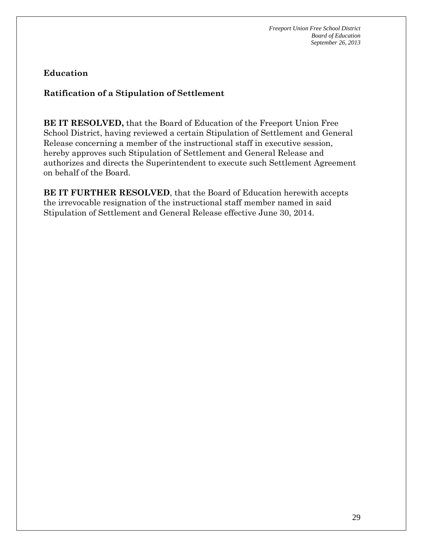# **Ratification of a Stipulation of Settlement**

**BE IT RESOLVED,** that the Board of Education of the Freeport Union Free School District, having reviewed a certain Stipulation of Settlement and General Release concerning a member of the instructional staff in executive session, hereby approves such Stipulation of Settlement and General Release and authorizes and directs the Superintendent to execute such Settlement Agreement on behalf of the Board.

**BE IT FURTHER RESOLVED**, that the Board of Education herewith accepts the irrevocable resignation of the instructional staff member named in said Stipulation of Settlement and General Release effective June 30, 2014.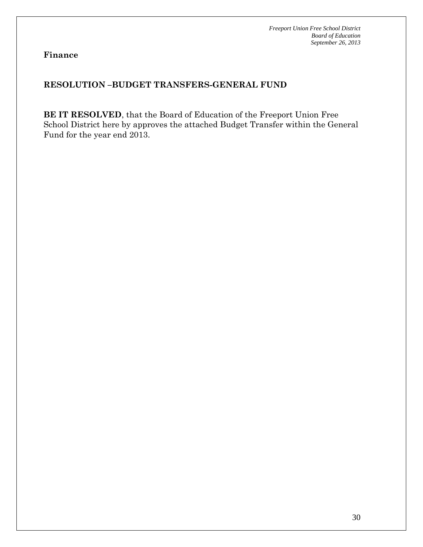**Finance** 

# **RESOLUTION –BUDGET TRANSFERS-GENERAL FUND**

**BE IT RESOLVED**, that the Board of Education of the Freeport Union Free School District here by approves the attached Budget Transfer within the General Fund for the year end 2013.